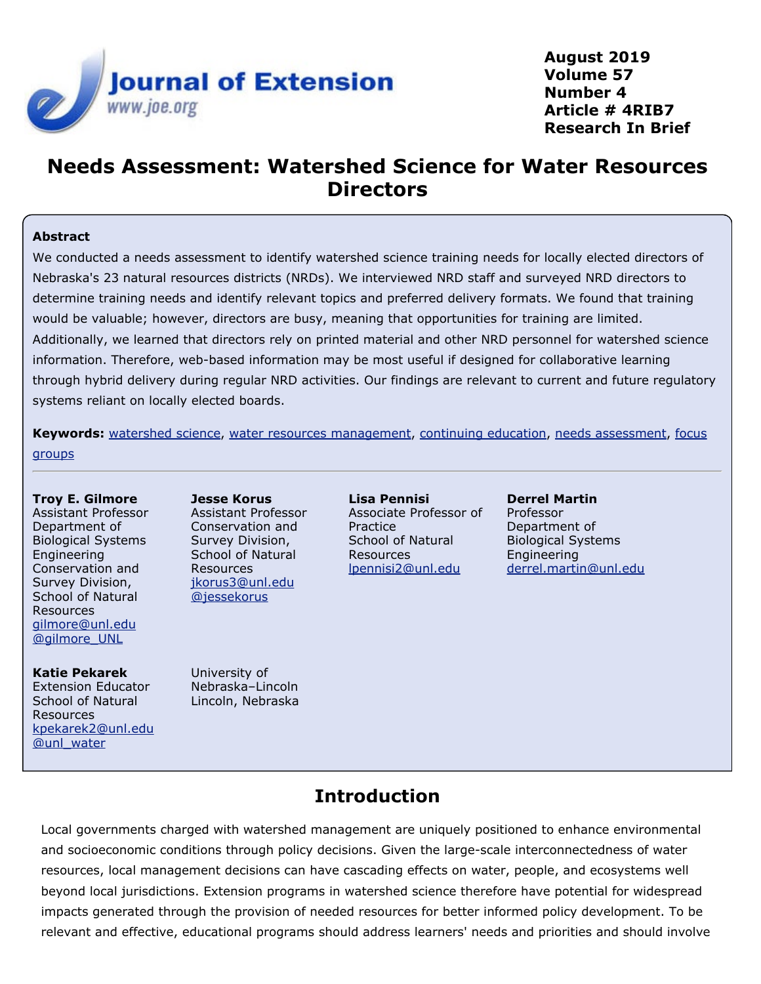

**August 2019 Volume 57 Number 4 Article # 4RIB7 Research In Brief**

# **Needs Assessment: Watershed Science for Water Resources Directors**

#### **Abstract**

We conducted a needs assessment to identify watershed science training needs for locally elected directors of Nebraska's 23 natural resources districts (NRDs). We interviewed NRD staff and surveyed NRD directors to determine training needs and identify relevant topics and preferred delivery formats. We found that training would be valuable; however, directors are busy, meaning that opportunities for training are limited. Additionally, we learned that directors rely on printed material and other NRD personnel for watershed science information. Therefore, web-based information may be most useful if designed for collaborative learning through hybrid delivery during regular NRD activities. Our findings are relevant to current and future regulatory systems reliant on locally elected boards.

**Keywords:** [watershed science](https://joe.org/search-results.php?cx=010816128502272931564%3Aopgn_voyplk&cof=FORID%3A10&ie=UTF-8&q=watershed science&sa=Search+JOE#1039\), [water resources management,](https://joe.org/search-results.php?cx=010816128502272931564%3Aopgn_voyplk&cof=FORID%3A10&ie=UTF-8&q=water resources management&sa=Search+JOE#1039\) [continuing education](https://joe.org/search-results.php?cx=010816128502272931564%3Aopgn_voyplk&cof=FORID%3A10&ie=UTF-8&q=continuing education&sa=Search+JOE#1039\), [needs assessment](https://joe.org/search-results.php?cx=010816128502272931564%3Aopgn_voyplk&cof=FORID%3A10&ie=UTF-8&q=needs assessment&sa=Search+JOE#1039\), [focus](https://joe.org/search-results.php?cx=010816128502272931564%3Aopgn_voyplk&cof=FORID%3A10&ie=UTF-8&q=focus groups&sa=Search+JOE#1039) **[groups](https://joe.org/search-results.php?cx=010816128502272931564%3Aopgn_voyplk&cof=FORID%3A10&ie=UTF-8&q=focus groups&sa=Search+JOE#1039)** 

#### **Troy E. Gilmore** Assistant Professor Department of Biological Systems Engineering Conservation and Survey Division, School of Natural Resources [gilmore@unl.edu](mailto:gilmore@unl.edu) [@gilmore\\_UNL](https://twitter.com/gilmore_UNL)

#### **Katie Pekarek**

Extension Educator School of Natural Resources [kpekarek2@unl.edu](mailto:kpekarek2@unl.edu) [@unl\\_water](https://twitter.com/unl_water)

**Jesse Korus** Assistant Professor Conservation and Survey Division, School of Natural Resources [jkorus3@unl.edu](mailto:jkorus3@unl.edu) [@jessekorus](https://twitter.com/jessekorus)

University of Nebraska–Lincoln Lincoln, Nebraska

**Lisa Pennisi** Associate Professor of **Practice** School of Natural Resources [lpennisi2@unl.edu](mailto:lpennisi2@unl.edu)

**Derrel Martin** Professor Department of Biological Systems Engineering [derrel.martin@unl.edu](mailto:derrel.martin@unl.edu)

### **Introduction**

Local governments charged with watershed management are uniquely positioned to enhance environmental and socioeconomic conditions through policy decisions. Given the large-scale interconnectedness of water resources, local management decisions can have cascading effects on water, people, and ecosystems well beyond local jurisdictions. Extension programs in watershed science therefore have potential for widespread impacts generated through the provision of needed resources for better informed policy development. To be relevant and effective, educational programs should address learners' needs and priorities and should involve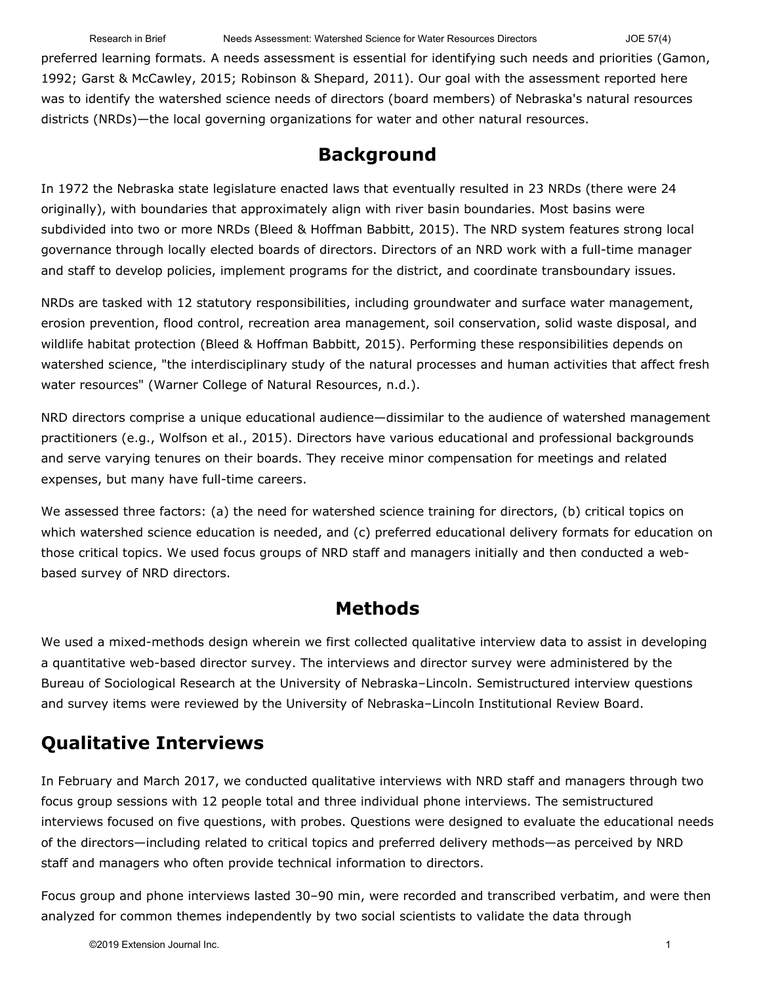Research in Brief Needs Assessment: Watershed Science for Water Resources Directors JOE 57(4)

preferred learning formats. A needs assessment is essential for identifying such needs and priorities (Gamon, 1992; Garst & McCawley, 2015; Robinson & Shepard, 2011). Our goal with the assessment reported here was to identify the watershed science needs of directors (board members) of Nebraska's natural resources districts (NRDs)—the local governing organizations for water and other natural resources.

### **Background**

In 1972 the Nebraska state legislature enacted laws that eventually resulted in 23 NRDs (there were 24 originally), with boundaries that approximately align with river basin boundaries. Most basins were subdivided into two or more NRDs (Bleed & Hoffman Babbitt, 2015). The NRD system features strong local governance through locally elected boards of directors. Directors of an NRD work with a full-time manager and staff to develop policies, implement programs for the district, and coordinate transboundary issues.

NRDs are tasked with 12 statutory responsibilities, including groundwater and surface water management, erosion prevention, flood control, recreation area management, soil conservation, solid waste disposal, and wildlife habitat protection (Bleed & Hoffman Babbitt, 2015). Performing these responsibilities depends on watershed science, "the interdisciplinary study of the natural processes and human activities that affect fresh water resources" (Warner College of Natural Resources, n.d.).

NRD directors comprise a unique educational audience—dissimilar to the audience of watershed management practitioners (e.g., Wolfson et al., 2015). Directors have various educational and professional backgrounds and serve varying tenures on their boards. They receive minor compensation for meetings and related expenses, but many have full-time careers.

We assessed three factors: (a) the need for watershed science training for directors, (b) critical topics on which watershed science education is needed, and (c) preferred educational delivery formats for education on those critical topics. We used focus groups of NRD staff and managers initially and then conducted a webbased survey of NRD directors.

### **Methods**

We used a mixed-methods design wherein we first collected qualitative interview data to assist in developing a quantitative web-based director survey. The interviews and director survey were administered by the Bureau of Sociological Research at the University of Nebraska–Lincoln. Semistructured interview questions and survey items were reviewed by the University of Nebraska–Lincoln Institutional Review Board.

# **Qualitative Interviews**

In February and March 2017, we conducted qualitative interviews with NRD staff and managers through two focus group sessions with 12 people total and three individual phone interviews. The semistructured interviews focused on five questions, with probes. Questions were designed to evaluate the educational needs of the directors—including related to critical topics and preferred delivery methods—as perceived by NRD staff and managers who often provide technical information to directors.

Focus group and phone interviews lasted 30–90 min, were recorded and transcribed verbatim, and were then analyzed for common themes independently by two social scientists to validate the data through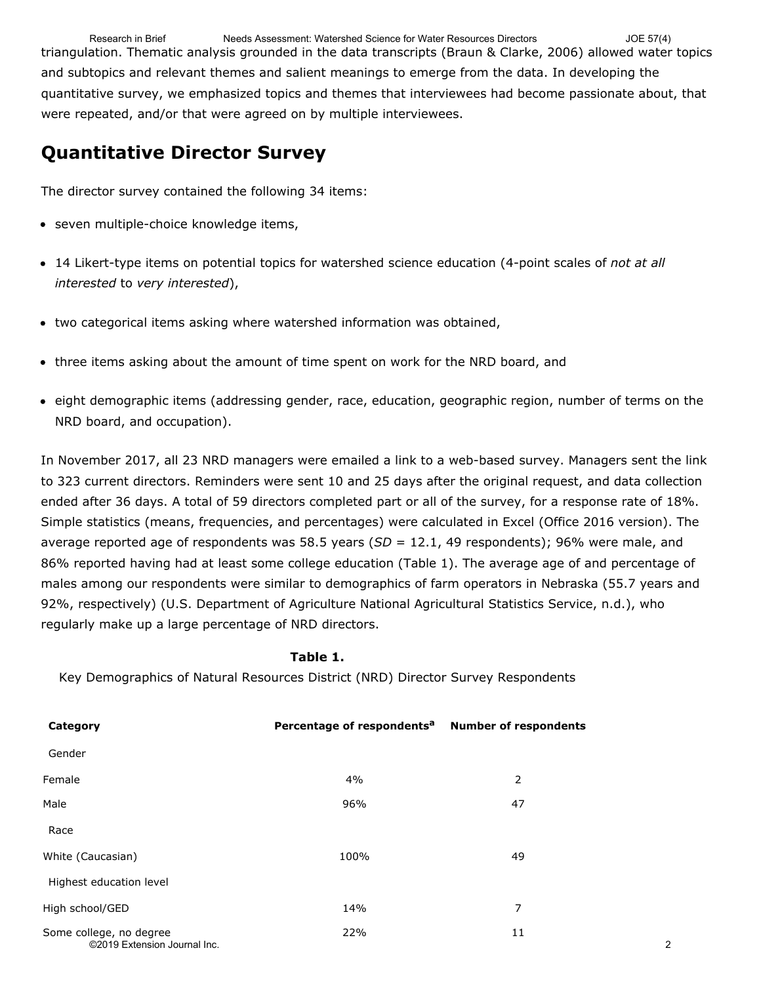triangulation. Thematic analysis grounded in the data transcripts (Braun & Clarke, 2006) allowed water topics and subtopics and relevant themes and salient meanings to emerge from the data. In developing the quantitative survey, we emphasized topics and themes that interviewees had become passionate about, that were repeated, and/or that were agreed on by multiple interviewees. Research in Brief Needs Assessment: Watershed Science for Water Resources Directors JOE 57(4)

### **Quantitative Director Survey**

The director survey contained the following 34 items:

- seven multiple-choice knowledge items,
- 14 Likert-type items on potential topics for watershed science education (4-point scales of *not at all interested* to *very interested*),
- two categorical items asking where watershed information was obtained,
- three items asking about the amount of time spent on work for the NRD board, and
- eight demographic items (addressing gender, race, education, geographic region, number of terms on the NRD board, and occupation).

In November 2017, all 23 NRD managers were emailed a link to a web-based survey. Managers sent the link to 323 current directors. Reminders were sent 10 and 25 days after the original request, and data collection ended after 36 days. A total of 59 directors completed part or all of the survey, for a response rate of 18%. Simple statistics (means, frequencies, and percentages) were calculated in Excel (Office 2016 version). The average reported age of respondents was 58.5 years (*SD* = 12.1, 49 respondents); 96% were male, and 86% reported having had at least some college education (Table 1). The average age of and percentage of males among our respondents were similar to demographics of farm operators in Nebraska (55.7 years and 92%, respectively) (U.S. Department of Agriculture National Agricultural Statistics Service, n.d.), who regularly make up a large percentage of NRD directors.

#### **Table 1.**

Key Demographics of Natural Resources District (NRD) Director Survey Respondents

| Category                                                | Percentage of respondents <sup>a</sup> Number of respondents |    |                |
|---------------------------------------------------------|--------------------------------------------------------------|----|----------------|
| Gender                                                  |                                                              |    |                |
| Female                                                  | 4%                                                           | 2  |                |
| Male                                                    | 96%                                                          | 47 |                |
| Race                                                    |                                                              |    |                |
| White (Caucasian)                                       | 100%                                                         | 49 |                |
| Highest education level                                 |                                                              |    |                |
| High school/GED                                         | 14%                                                          | 7  |                |
| Some college, no degree<br>©2019 Extension Journal Inc. | 22%                                                          | 11 | $\overline{2}$ |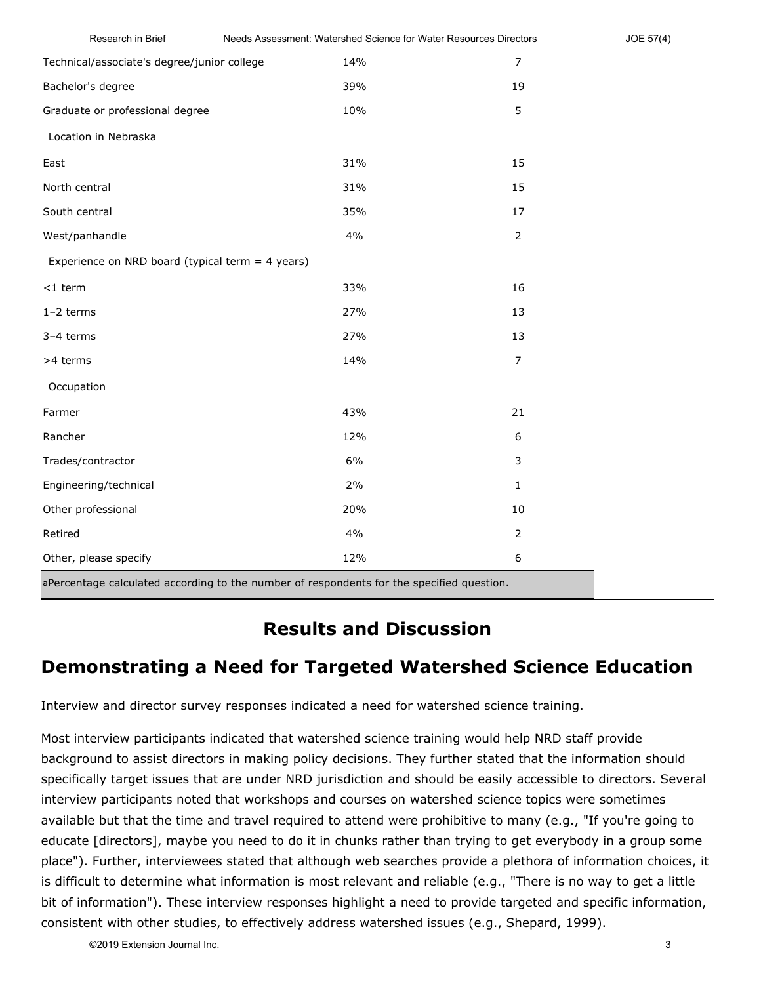| Research in Brief                                  | Needs Assessment: Watershed Science for Water Resources Directors |                | JOE 57(4) |
|----------------------------------------------------|-------------------------------------------------------------------|----------------|-----------|
| Technical/associate's degree/junior college        | 14%                                                               | $\overline{7}$ |           |
| Bachelor's degree                                  | 39%                                                               | 19             |           |
| Graduate or professional degree                    | 10%                                                               | 5              |           |
| Location in Nebraska                               |                                                                   |                |           |
| East                                               | 31%                                                               | 15             |           |
| North central                                      | 31%                                                               | 15             |           |
| South central                                      | 35%                                                               | 17             |           |
| West/panhandle                                     | 4%                                                                | $\overline{2}$ |           |
| Experience on NRD board (typical term $=$ 4 years) |                                                                   |                |           |
| $<$ 1 term                                         | 33%                                                               | 16             |           |
| $1-2$ terms                                        | 27%                                                               | 13             |           |
| 3-4 terms                                          | 27%                                                               | 13             |           |
| >4 terms                                           | 14%                                                               | $\overline{7}$ |           |
| Occupation                                         |                                                                   |                |           |
| Farmer                                             | 43%                                                               | 21             |           |
| Rancher                                            | 12%                                                               | 6              |           |
| Trades/contractor                                  | 6%                                                                | 3              |           |
| Engineering/technical                              | 2%                                                                | $\mathbf{1}$   |           |
| Other professional                                 | 20%                                                               | $10\,$         |           |
| Retired                                            | 4%                                                                | $\overline{2}$ |           |
| Other, please specify                              | 12%                                                               | 6              |           |

aPercentage calculated according to the number of respondents for the specified question.

### **Results and Discussion**

# **Demonstrating a Need for Targeted Watershed Science Education**

Interview and director survey responses indicated a need for watershed science training.

Most interview participants indicated that watershed science training would help NRD staff provide background to assist directors in making policy decisions. They further stated that the information should specifically target issues that are under NRD jurisdiction and should be easily accessible to directors. Several interview participants noted that workshops and courses on watershed science topics were sometimes available but that the time and travel required to attend were prohibitive to many (e.g., "If you're going to educate [directors], maybe you need to do it in chunks rather than trying to get everybody in a group some place"). Further, interviewees stated that although web searches provide a plethora of information choices, it is difficult to determine what information is most relevant and reliable (e.g., "There is no way to get a little bit of information"). These interview responses highlight a need to provide targeted and specific information, consistent with other studies, to effectively address watershed issues (e.g., Shepard, 1999).

©2019 Extension Journal Inc. 3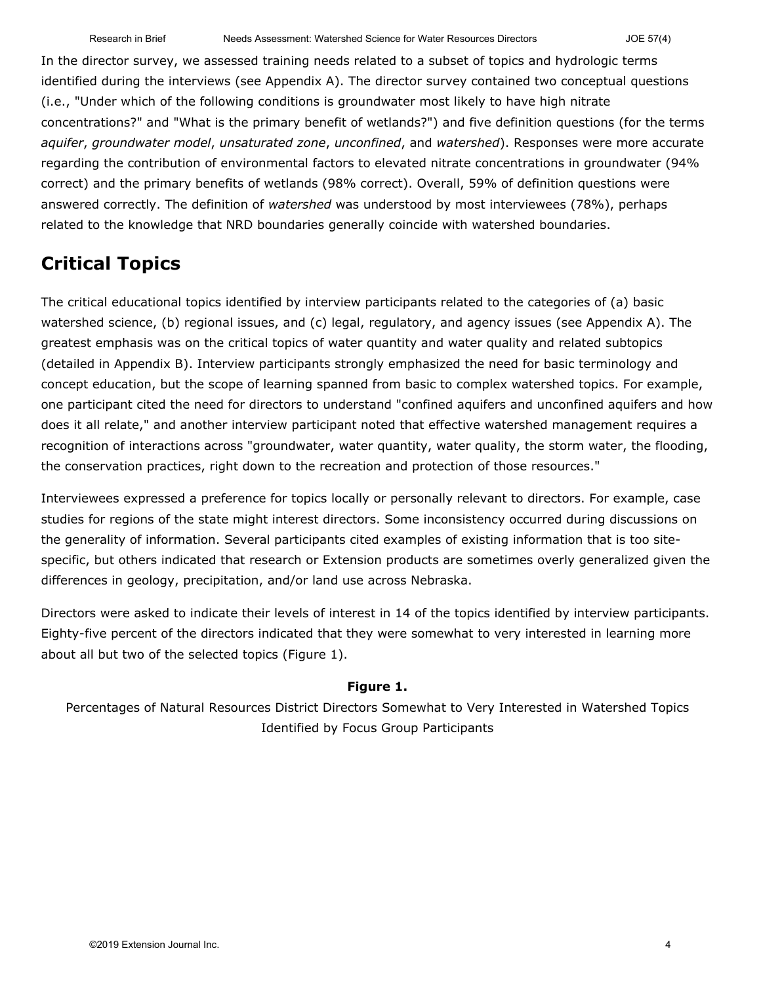In the director survey, we assessed training needs related to a subset of topics and hydrologic terms identified during the interviews (see Appendix A). The director survey contained two conceptual questions (i.e., "Under which of the following conditions is groundwater most likely to have high nitrate concentrations?" and "What is the primary benefit of wetlands?") and five definition questions (for the terms *aquifer*, *groundwater model*, *unsaturated zone*, *unconfined*, and *watershed*). Responses were more accurate regarding the contribution of environmental factors to elevated nitrate concentrations in groundwater (94% correct) and the primary benefits of wetlands (98% correct). Overall, 59% of definition questions were answered correctly. The definition of *watershed* was understood by most interviewees (78%), perhaps related to the knowledge that NRD boundaries generally coincide with watershed boundaries.

### **Critical Topics**

The critical educational topics identified by interview participants related to the categories of (a) basic watershed science, (b) regional issues, and (c) legal, regulatory, and agency issues (see Appendix A). The greatest emphasis was on the critical topics of water quantity and water quality and related subtopics (detailed in Appendix B). Interview participants strongly emphasized the need for basic terminology and concept education, but the scope of learning spanned from basic to complex watershed topics. For example, one participant cited the need for directors to understand "confined aquifers and unconfined aquifers and how does it all relate," and another interview participant noted that effective watershed management requires a recognition of interactions across "groundwater, water quantity, water quality, the storm water, the flooding, the conservation practices, right down to the recreation and protection of those resources."

Interviewees expressed a preference for topics locally or personally relevant to directors. For example, case studies for regions of the state might interest directors. Some inconsistency occurred during discussions on the generality of information. Several participants cited examples of existing information that is too sitespecific, but others indicated that research or Extension products are sometimes overly generalized given the differences in geology, precipitation, and/or land use across Nebraska.

Directors were asked to indicate their levels of interest in 14 of the topics identified by interview participants. Eighty-five percent of the directors indicated that they were somewhat to very interested in learning more about all but two of the selected topics (Figure 1).

#### **Figure 1.**

Percentages of Natural Resources District Directors Somewhat to Very Interested in Watershed Topics Identified by Focus Group Participants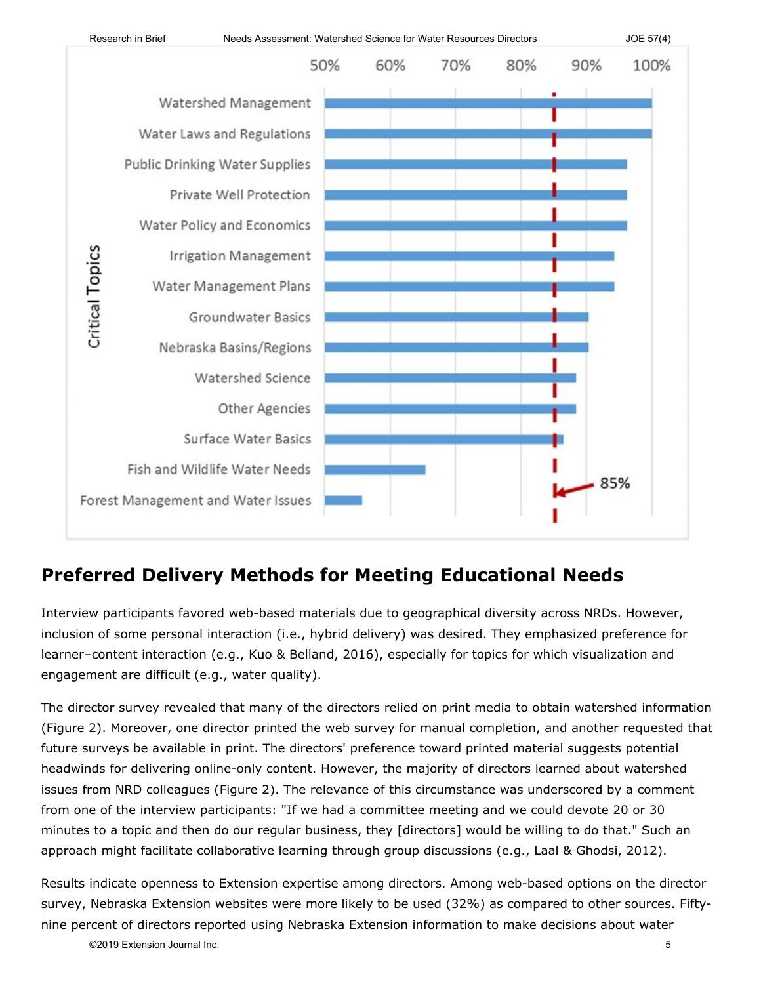

### **Preferred Delivery Methods for Meeting Educational Needs**

Interview participants favored web-based materials due to geographical diversity across NRDs. However, inclusion of some personal interaction (i.e., hybrid delivery) was desired. They emphasized preference for learner–content interaction (e.g., Kuo & Belland, 2016), especially for topics for which visualization and engagement are difficult (e.g., water quality).

The director survey revealed that many of the directors relied on print media to obtain watershed information (Figure 2). Moreover, one director printed the web survey for manual completion, and another requested that future surveys be available in print. The directors' preference toward printed material suggests potential headwinds for delivering online-only content. However, the majority of directors learned about watershed issues from NRD colleagues (Figure 2). The relevance of this circumstance was underscored by a comment from one of the interview participants: "If we had a committee meeting and we could devote 20 or 30 minutes to a topic and then do our regular business, they [directors] would be willing to do that." Such an approach might facilitate collaborative learning through group discussions (e.g., Laal & Ghodsi, 2012).

Results indicate openness to Extension expertise among directors. Among web-based options on the director survey, Nebraska Extension websites were more likely to be used (32%) as compared to other sources. Fiftynine percent of directors reported using Nebraska Extension information to make decisions about water

©2019 Extension Journal Inc. 5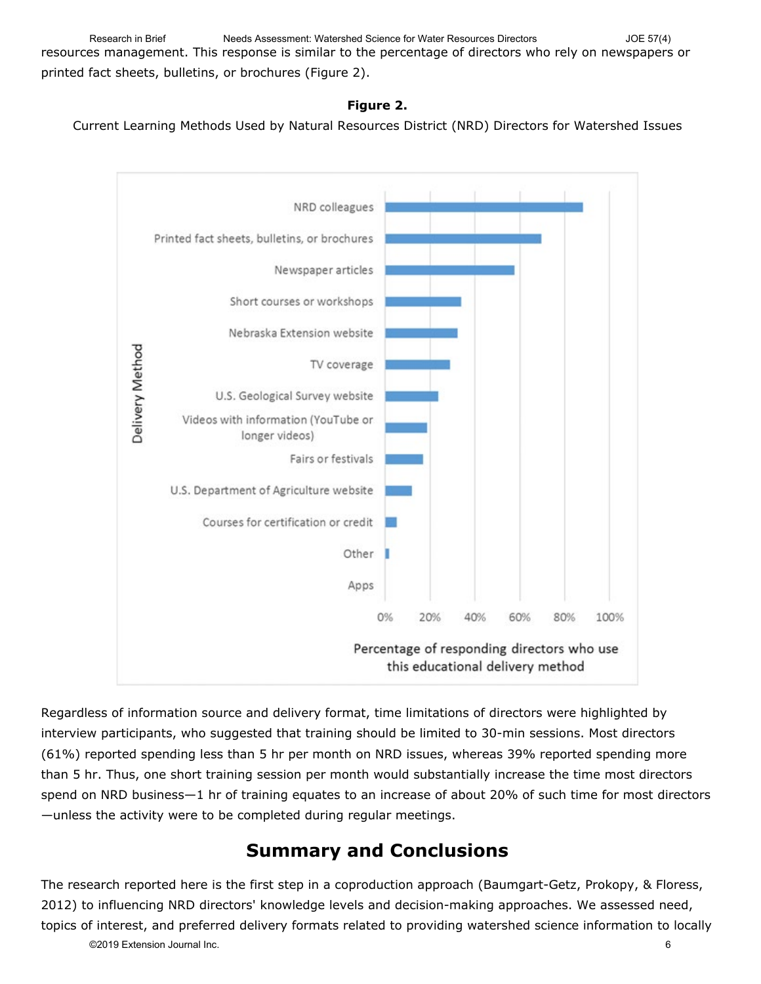resources management. This response is similar to the percentage of directors who rely on newspapers or printed fact sheets, bulletins, or brochures (Figure 2). Research in Brief Needs Assessment: Watershed Science for Water Resources Directors JOE 57(4)

#### **Figure 2.**

Current Learning Methods Used by Natural Resources District (NRD) Directors for Watershed Issues



Regardless of information source and delivery format, time limitations of directors were highlighted by interview participants, who suggested that training should be limited to 30-min sessions. Most directors (61%) reported spending less than 5 hr per month on NRD issues, whereas 39% reported spending more than 5 hr. Thus, one short training session per month would substantially increase the time most directors spend on NRD business—1 hr of training equates to an increase of about 20% of such time for most directors —unless the activity were to be completed during regular meetings.

#### **Summary and Conclusions**

The research reported here is the first step in a coproduction approach (Baumgart-Getz, Prokopy, & Floress, 2012) to influencing NRD directors' knowledge levels and decision-making approaches. We assessed need, topics of interest, and preferred delivery formats related to providing watershed science information to locally ©2019 Extension Journal Inc. 6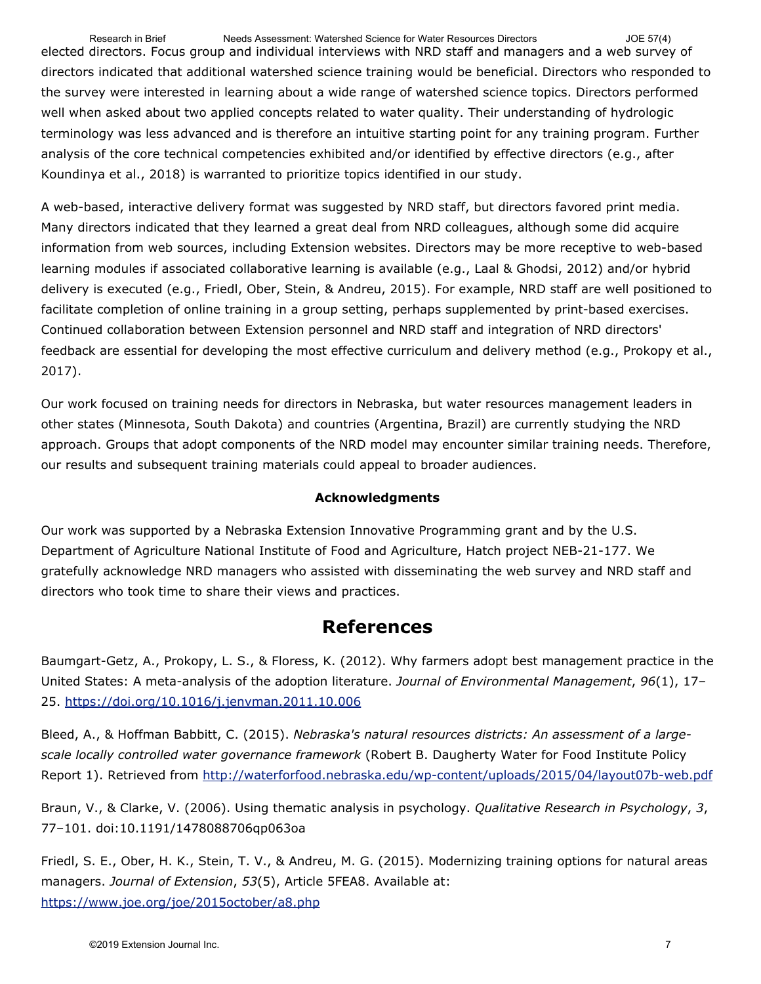elected directors. Focus group and individual interviews with NRD staff and managers and a web survey of directors indicated that additional watershed science training would be beneficial. Directors who responded to the survey were interested in learning about a wide range of watershed science topics. Directors performed well when asked about two applied concepts related to water quality. Their understanding of hydrologic terminology was less advanced and is therefore an intuitive starting point for any training program. Further analysis of the core technical competencies exhibited and/or identified by effective directors (e.g., after Koundinya et al., 2018) is warranted to prioritize topics identified in our study. Research in Brief Needs Assessment: Watershed Science for Water Resources Directors JOE 57(4)

A web-based, interactive delivery format was suggested by NRD staff, but directors favored print media. Many directors indicated that they learned a great deal from NRD colleagues, although some did acquire information from web sources, including Extension websites. Directors may be more receptive to web-based learning modules if associated collaborative learning is available (e.g., Laal & Ghodsi, 2012) and/or hybrid delivery is executed (e.g., Friedl, Ober, Stein, & Andreu, 2015). For example, NRD staff are well positioned to facilitate completion of online training in a group setting, perhaps supplemented by print-based exercises. Continued collaboration between Extension personnel and NRD staff and integration of NRD directors' feedback are essential for developing the most effective curriculum and delivery method (e.g., Prokopy et al., 2017).

Our work focused on training needs for directors in Nebraska, but water resources management leaders in other states (Minnesota, South Dakota) and countries (Argentina, Brazil) are currently studying the NRD approach. Groups that adopt components of the NRD model may encounter similar training needs. Therefore, our results and subsequent training materials could appeal to broader audiences.

#### **Acknowledgments**

Our work was supported by a Nebraska Extension Innovative Programming grant and by the U.S. Department of Agriculture National Institute of Food and Agriculture, Hatch project NEB-21-177. We gratefully acknowledge NRD managers who assisted with disseminating the web survey and NRD staff and directors who took time to share their views and practices.

#### **References**

Baumgart-Getz, A., Prokopy, L. S., & Floress, K. (2012). Why farmers adopt best management practice in the United States: A meta-analysis of the adoption literature. *Journal of Environmental Management*, *96*(1), 17– 25.<https://doi.org/10.1016/j.jenvman.2011.10.006>

Bleed, A., & Hoffman Babbitt, C. (2015). *Nebraska's natural resources districts: An assessment of a largescale locally controlled water governance framework* (Robert B. Daugherty Water for Food Institute Policy Report 1). Retrieved from<http://waterforfood.nebraska.edu/wp-content/uploads/2015/04/layout07b-web.pdf>

Braun, V., & Clarke, V. (2006). Using thematic analysis in psychology. *Qualitative Research in Psychology*, *3*, 77–101. doi:10.1191/1478088706qp063oa

Friedl, S. E., Ober, H. K., Stein, T. V., & Andreu, M. G. (2015). Modernizing training options for natural areas managers. *Journal of Extension*, *53*(5), Article 5FEA8. Available at: <https://www.joe.org/joe/2015october/a8.php>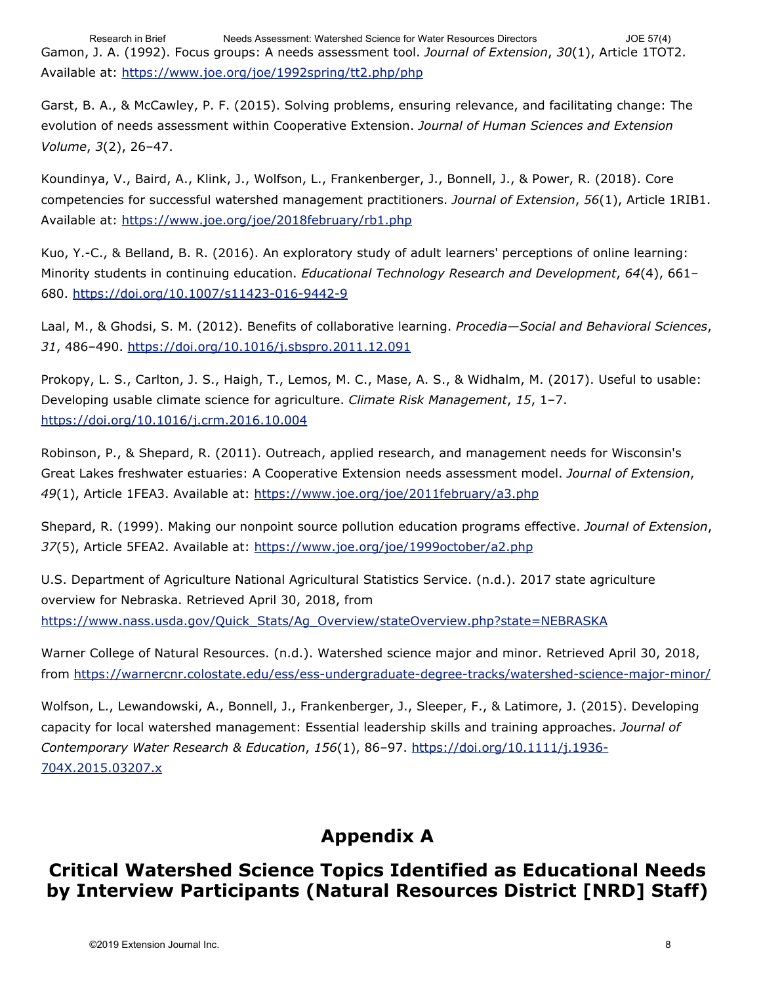Gamon, J. A. (1992). Focus groups: A needs assessment tool. *Journal of Extension*, *30*(1), Article 1TOT2. Available at:<https://www.joe.org/joe/1992spring/tt2.php/php> Research in Brief Needs Assessment: Watershed Science for Water Resources Directors JOE 57(4)

Garst, B. A., & McCawley, P. F. (2015). Solving problems, ensuring relevance, and facilitating change: The evolution of needs assessment within Cooperative Extension. *Journal of Human Sciences and Extension Volume*, *3*(2), 26–47.

Koundinya, V., Baird, A., Klink, J., Wolfson, L., Frankenberger, J., Bonnell, J., & Power, R. (2018). Core competencies for successful watershed management practitioners. *Journal of Extension*, *56*(1), Article 1RIB1. Available at:<https://www.joe.org/joe/2018february/rb1.php>

Kuo, Y.-C., & Belland, B. R. (2016). An exploratory study of adult learners' perceptions of online learning: Minority students in continuing education. *Educational Technology Research and Development*, *64*(4), 661– 680. <https://doi.org/10.1007/s11423-016-9442-9>

Laal, M., & Ghodsi, S. M. (2012). Benefits of collaborative learning. *Procedia—Social and Behavioral Sciences*, *31*, 486–490.<https://doi.org/10.1016/j.sbspro.2011.12.091>

Prokopy, L. S., Carlton, J. S., Haigh, T., Lemos, M. C., Mase, A. S., & Widhalm, M. (2017). Useful to usable: Developing usable climate science for agriculture. *Climate Risk Management*, *15*, 1–7. <https://doi.org/10.1016/j.crm.2016.10.004>

Robinson, P., & Shepard, R. (2011). Outreach, applied research, and management needs for Wisconsin's Great Lakes freshwater estuaries: A Cooperative Extension needs assessment model. *Journal of Extension*, *49*(1), Article 1FEA3. Available at:<https://www.joe.org/joe/2011february/a3.php>

Shepard, R. (1999). Making our nonpoint source pollution education programs effective. *Journal of Extension*, *37*(5), Article 5FEA2. Available at:<https://www.joe.org/joe/1999october/a2.php>

U.S. Department of Agriculture National Agricultural Statistics Service. (n.d.). 2017 state agriculture overview for Nebraska. Retrieved April 30, 2018, from [https://www.nass.usda.gov/Quick\\_Stats/Ag\\_Overview/stateOverview.php?state=NEBRASKA](https://www.nass.usda.gov/Quick_Stats/Ag_Overview/stateOverview.php?state=NEBRASKA)

Warner College of Natural Resources. (n.d.). Watershed science major and minor. Retrieved April 30, 2018, from<https://warnercnr.colostate.edu/ess/ess-undergraduate-degree-tracks/watershed-science-major-minor/>

Wolfson, L., Lewandowski, A., Bonnell, J., Frankenberger, J., Sleeper, F., & Latimore, J. (2015). Developing capacity for local watershed management: Essential leadership skills and training approaches. *Journal of Contemporary Water Research & Education*, *156*(1), 86–97. [https://doi.org/10.1111/j.1936-](https://doi.org/10.1111/j.1936-704X.2015.03207.x) [704X.2015.03207.x](https://doi.org/10.1111/j.1936-704X.2015.03207.x)

# **Appendix A**

### **Critical Watershed Science Topics Identified as Educational Needs by Interview Participants (Natural Resources District [NRD] Staff)**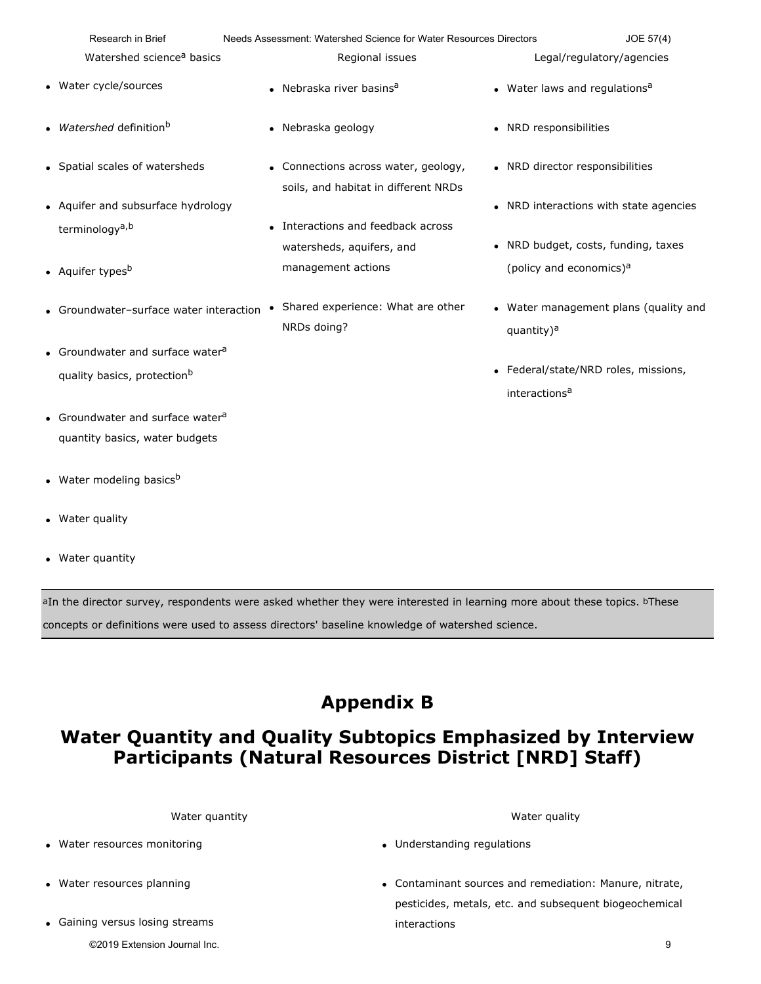| Research in Brief                            | Needs Assessment: Watershed Science for Water Resources Directors            | JOE 57(4)                                                       |
|----------------------------------------------|------------------------------------------------------------------------------|-----------------------------------------------------------------|
| Watershed science <sup>a</sup> basics        | Regional issues                                                              | Legal/regulatory/agencies                                       |
| • Water cycle/sources                        | • Nebraska river basins <sup>a</sup>                                         | • Water laws and regulations <sup>a</sup>                       |
| • Watershed definition <sup>b</sup>          | • Nebraska geology                                                           | • NRD responsibilities                                          |
| • Spatial scales of watersheds               | • Connections across water, geology,<br>soils, and habitat in different NRDs | • NRD director responsibilities                                 |
| • Aquifer and subsurface hydrology           |                                                                              | • NRD interactions with state agencies                          |
| terminology <sup>a,b</sup>                   | • Interactions and feedback across<br>watersheds, aquifers, and              | • NRD budget, costs, funding, taxes                             |
| • Aquifer types <sup>b</sup>                 | management actions                                                           | (policy and economics) <sup>a</sup>                             |
| • Groundwater-surface water interaction      | Shared experience: What are other<br>٠<br>NRDs doing?                        | • Water management plans (quality and<br>quantity) <sup>a</sup> |
| • Groundwater and surface water <sup>a</sup> |                                                                              |                                                                 |
| quality basics, protection <sup>b</sup>      |                                                                              | • Federal/state/NRD roles, missions,                            |
|                                              |                                                                              | interactions <sup>a</sup>                                       |
| • Groundwater and surface water <sup>a</sup> |                                                                              |                                                                 |
| quantity basics, water budgets               |                                                                              |                                                                 |
| • Water modeling basicsb                     |                                                                              |                                                                 |

- Water quality
- Water quantity

aIn the director survey, respondents were asked whether they were interested in learning more about these topics. bThese

concepts or definitions were used to assess directors' baseline knowledge of watershed science.

# **Appendix B**

## **Water Quantity and Quality Subtopics Emphasized by Interview Participants (Natural Resources District [NRD] Staff)**

Water quantity **Water quality** Water quality **Water quality** 

- Water resources monitoring
- Water resources planning
- Gaining versus losing streams

©2019 Extension Journal Inc. 9

- Understanding regulations
- Contaminant sources and remediation: Manure, nitrate, pesticides, metals, etc. and subsequent biogeochemical interactions